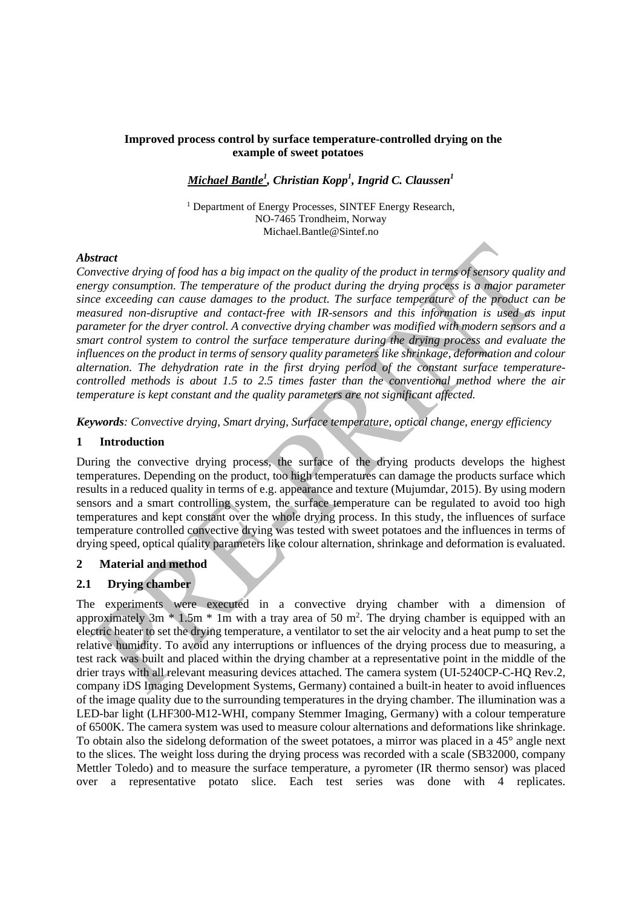## **Improved process control by surface temperature-controlled drying on the example of sweet potatoes**

# *Michael Bantle<sup>1</sup> , Christian Kopp<sup>1</sup> , Ingrid C. Claussen1*

<sup>1</sup> Department of Energy Processes, SINTEF Energy Research, NO-7465 Trondheim, Norway Michael.Bantle@Sintef.no

#### *Abstract*

*Convective drying of food has a big impact on the quality of the product in terms of sensory quality and energy consumption. The temperature of the product during the drying process is a major parameter since exceeding can cause damages to the product. The surface temperature of the product can be measured non-disruptive and contact-free with IR-sensors and this information is used as input parameter for the dryer control. A convective drying chamber was modified with modern sensors and a smart control system to control the surface temperature during the drying process and evaluate the influences on the product in terms of sensory quality parameters like shrinkage, deformation and colour alternation. The dehydration rate in the first drying period of the constant surface temperaturecontrolled methods is about 1.5 to 2.5 times faster than the conventional method where the air temperature is kept constant and the quality parameters are not significant affected.*

*Keywords: Convective drying, Smart drying, Surface temperature, optical change, energy efficiency*

## **1 Introduction**

During the convective drying process, the surface of the drying products develops the highest temperatures. Depending on the product, too high temperatures can damage the products surface which results in a reduced quality in terms of e.g. appearance and texture (Mujumdar, 2015). By using modern sensors and a smart controlling system, the surface temperature can be regulated to avoid too high temperatures and kept constant over the whole drying process. In this study, the influences of surface temperature controlled convective drying was tested with sweet potatoes and the influences in terms of drying speed, optical quality parameters like colour alternation, shrinkage and deformation is evaluated.

#### **2 Material and method**

## **2.1 Drying chamber**

The experiments were executed in a convective drying chamber with a dimension of approximately  $3m * 1.5m * 1m$  with a tray area of 50 m<sup>2</sup>. The drying chamber is equipped with an electric heater to set the drying temperature, a ventilator to set the air velocity and a heat pump to set the relative humidity. To avoid any interruptions or influences of the drying process due to measuring, a test rack was built and placed within the drying chamber at a representative point in the middle of the drier trays with all relevant measuring devices attached. The camera system (UI-5240CP-C-HQ Rev.2, company iDS Imaging Development Systems, Germany) contained a built-in heater to avoid influences of the image quality due to the surrounding temperatures in the drying chamber. The illumination was a LED-bar light (LHF300-M12-WHI, company Stemmer Imaging, Germany) with a colour temperature of 6500K. The camera system was used to measure colour alternations and deformations like shrinkage. To obtain also the sidelong deformation of the sweet potatoes, a mirror was placed in a 45° angle next to the slices. The weight loss during the drying process was recorded with a scale (SB32000, company Mettler Toledo) and to measure the surface temperature, a pyrometer (IR thermo sensor) was placed over a representative potato slice. Each test series was done with 4 replicates.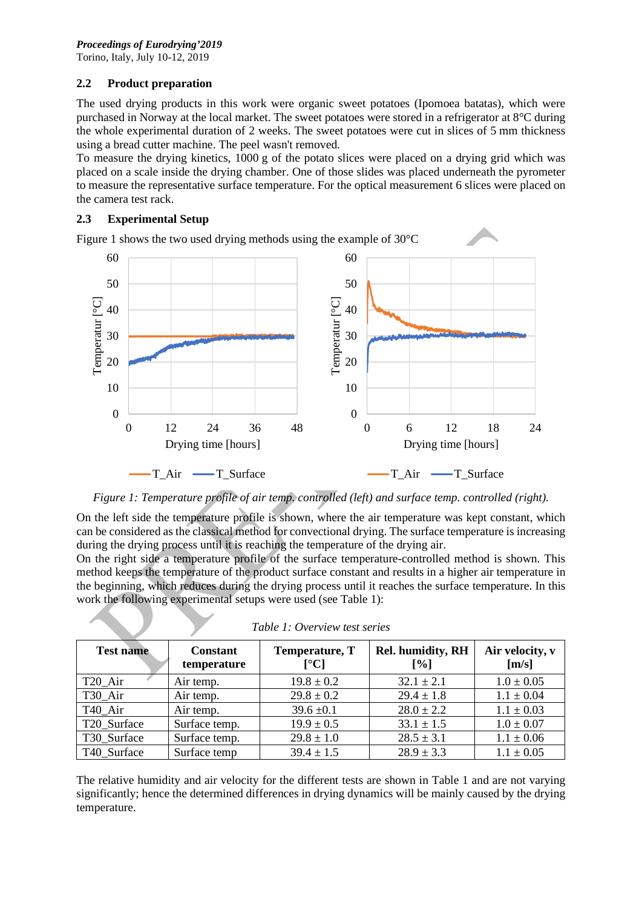# **2.2 Product preparation**

The used drying products in this work were organic sweet potatoes (Ipomoea batatas), which were purchased in Norway at the local market. The sweet potatoes were stored in a refrigerator at 8°C during the whole experimental duration of 2 weeks. The sweet potatoes were cut in slices of 5 mm thickness using a bread cutter machine. The peel wasn't removed.

To measure the drying kinetics, 1000 g of the potato slices were placed on a drying grid which was placed on a scale inside the drying chamber. One of those slides was placed underneath the pyrometer to measure the representative surface temperature. For the optical measurement 6 slices were placed on the camera test rack.

# **2.3 Experimental Setup**

Figure 1 shows the two used drying methods using the example of 30°C



*Figure 1: Temperature profile of air temp. controlled (left) and surface temp. controlled (right).*

On the left side the temperature profile is shown, where the air temperature was kept constant, which can be considered as the classical method for convectional drying. The surface temperature is increasing during the drying process until it is reaching the temperature of the drying air.

On the right side a temperature profile of the surface temperature-controlled method is shown. This method keeps the temperature of the product surface constant and results in a higher air temperature in the beginning, which reduces during the drying process until it reaches the surface temperature. In this work the following experimental setups were used (see Table 1):

| <b>Test name</b>    | <b>Constant</b><br>temperature | Temperature, T<br>$\lceil$ <sup>o</sup> Cl | <b>Rel. humidity, RH</b><br>$\lceil\% \rceil$ | Air velocity, v<br>[m/s] |
|---------------------|--------------------------------|--------------------------------------------|-----------------------------------------------|--------------------------|
| T <sub>20</sub> Air | Air temp.                      | $19.8 \pm 0.2$                             | $32.1 + 2.1$                                  | $1.0 \pm 0.05$           |
| T30 Air             | Air temp.                      | $29.8 \pm 0.2$                             | $29.4 \pm 1.8$                                | $1.1 \pm 0.04$           |
| T40 Air             | Air temp.                      | $39.6 \pm 0.1$                             | $28.0 \pm 2.2$                                | $1.1 \pm 0.03$           |
| T20 Surface         | Surface temp.                  | $19.9 \pm 0.5$                             | $33.1 \pm 1.5$                                | $1.0 \pm 0.07$           |
| T30 Surface         | Surface temp.                  | $29.8 \pm 1.0$                             | $28.5 \pm 3.1$                                | $1.1 \pm 0.06$           |
| T40 Surface         | Surface temp                   | $39.4 \pm 1.5$                             | $28.9 \pm 3.3$                                | $1.1 \pm 0.05$           |

|  | Table 1: Overview test series |  |
|--|-------------------------------|--|
|  |                               |  |

The relative humidity and air velocity for the different tests are shown in Table 1 and are not varying significantly; hence the determined differences in drying dynamics will be mainly caused by the drying temperature.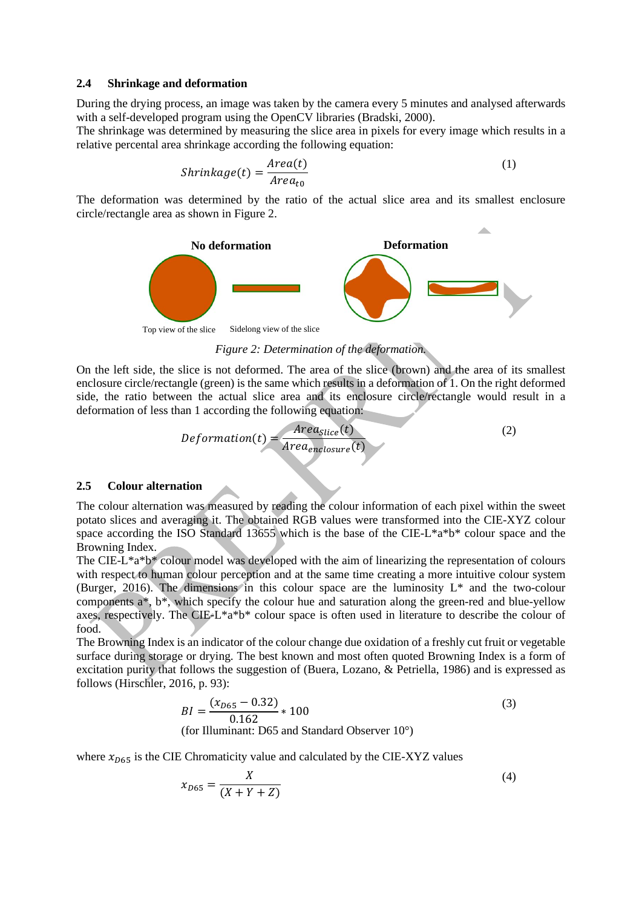#### **2.4 Shrinkage and deformation**

During the drying process, an image was taken by the camera every 5 minutes and analysed afterwards with a self-developed program using the OpenCV libraries (Bradski, 2000).

The shrinkage was determined by measuring the slice area in pixels for every image which results in a relative percental area shrinkage according the following equation:

$$
Shrinkage(t) = \frac{Area(t)}{Area_{t0}}\tag{1}
$$

The deformation was determined by the ratio of the actual slice area and its smallest enclosure circle/rectangle area as shown in Figure 2.



*Figure 2: Determination of the deformation.*

On the left side, the slice is not deformed. The area of the slice (brown) and the area of its smallest enclosure circle/rectangle (green) is the same which results in a deformation of 1. On the right deformed side, the ratio between the actual slice area and its enclosure circle/rectangle would result in a deformation of less than 1 according the following equation:

$$
Definition(t) = \frac{Area_{Slice}(t)}{Area_{enclosure}(t)}
$$
(2)

#### **2.5 Colour alternation**

The colour alternation was measured by reading the colour information of each pixel within the sweet potato slices and averaging it. The obtained RGB values were transformed into the CIE-XYZ colour space according the ISO Standard 13655 which is the base of the CIE-L\*a\*b\* colour space and the Browning Index.

The CIE-L\*a\*b\* colour model was developed with the aim of linearizing the representation of colours with respect to human colour perception and at the same time creating a more intuitive colour system (Burger, 2016). The dimensions in this colour space are the luminosity  $L^*$  and the two-colour components a\*, b\*, which specify the colour hue and saturation along the green-red and blue-yellow axes, respectively. The CIE-L\*a\*b\* colour space is often used in literature to describe the colour of food.

The Browning Index is an indicator of the colour change due oxidation of a freshly cut fruit or vegetable surface during storage or drying. The best known and most often quoted Browning Index is a form of excitation purity that follows the suggestion of (Buera, Lozano, & Petriella, 1986) and is expressed as follows (Hirschler, 2016, p. 93):

$$
BI = \frac{(x_{D65} - 0.32)}{0.162} * 100
$$
  
(for Illuminant: D65 and Standard Observatory 10°) (3)

where  $x_{D65}$  is the CIE Chromaticity value and calculated by the CIE-XYZ values

$$
x_{D65} = \frac{X}{(X+Y+Z)}
$$
 (4)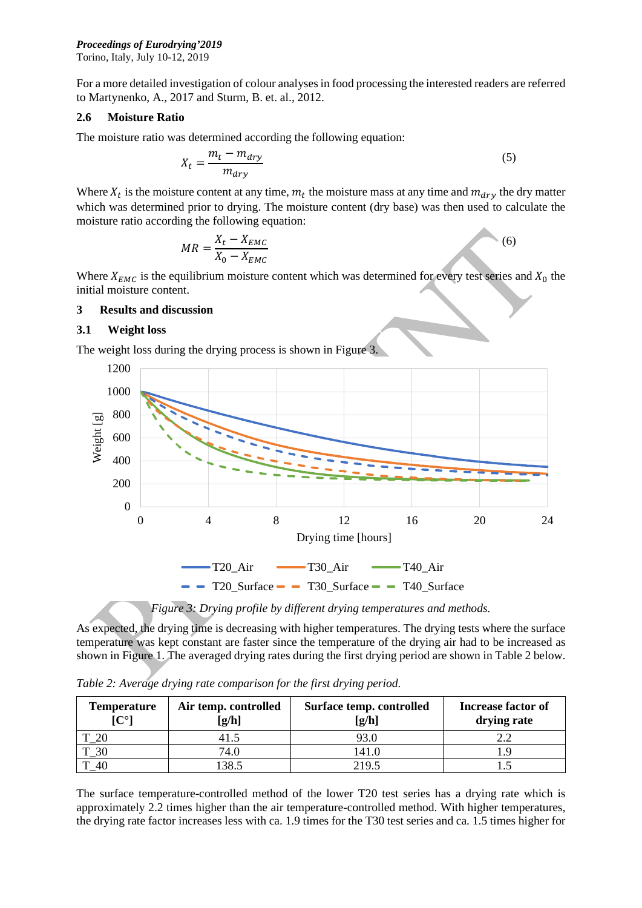## *Proceedings of Eurodrying'2019*

Torino, Italy, July 10-12, 2019

For a more detailed investigation of colour analyses in food processing the interested readers are referred to Martynenko, A., 2017 and Sturm, B. et. al., 2012.

## **2.6 Moisture Ratio**

The moisture ratio was determined according the following equation:

$$
X_t = \frac{m_t - m_{dry}}{m_{dry}}\tag{5}
$$

Where  $X_t$  is the moisture content at any time,  $m_t$  the moisture mass at any time and  $m_{\text{dry}}$  the dry matter which was determined prior to drying. The moisture content (dry base) was then used to calculate the moisture ratio according the following equation:

$$
MR = \frac{X_t - X_{EMC}}{X_0 - X_{EMC}}
$$
\n<sup>(6)</sup>

Where  $X_{EMC}$  is the equilibrium moisture content which was determined for every test series and  $X_0$  the initial moisture content.

## **3 Results and discussion**

#### **3.1 Weight loss**

The weight loss during the drying process is shown in Figure 3.



*Figure 3: Drying profile by different drying temperatures and methods.*

As expected, the drying time is decreasing with higher temperatures. The drying tests where the surface temperature was kept constant are faster since the temperature of the drying air had to be increased as shown in Figure 1. The averaged drying rates during the first drying period are shown in Table 2 below.

*Table 2: Average drying rate comparison for the first drying period.*

| <b>Temperature</b><br>$[C^{\circ}]$ | Air temp. controlled<br>[g/h] | Surface temp. controlled<br>[g/h] | <b>Increase factor of</b><br>drying rate |
|-------------------------------------|-------------------------------|-----------------------------------|------------------------------------------|
| 20                                  |                               | 93.0                              |                                          |
| $\overline{\phantom{0}30}$          | 74.0                          | 141.0                             |                                          |
| $-40$                               | .38.5                         | 219.5                             |                                          |

The surface temperature-controlled method of the lower T20 test series has a drying rate which is approximately 2.2 times higher than the air temperature-controlled method. With higher temperatures, the drying rate factor increases less with ca. 1.9 times for the T30 test series and ca. 1.5 times higher for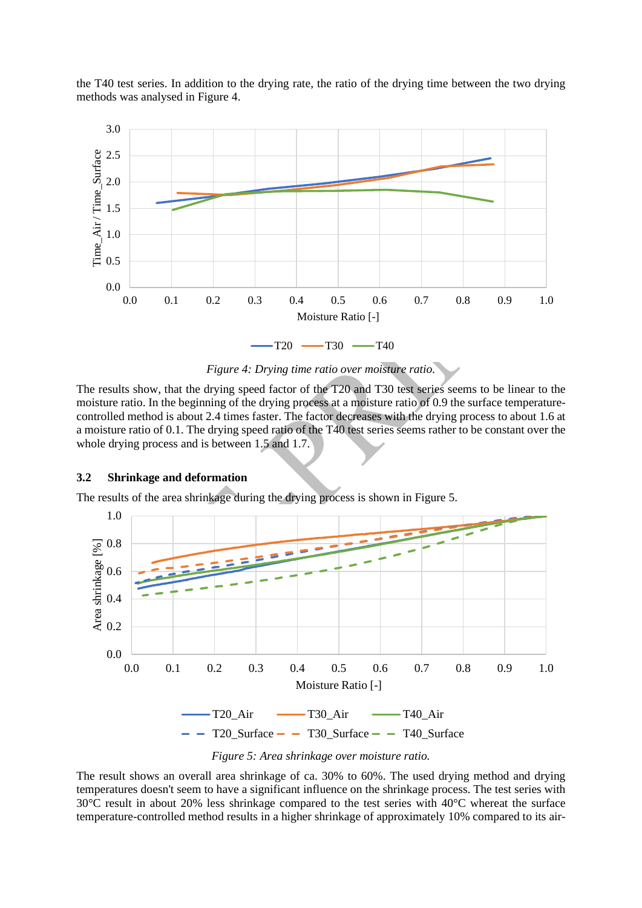the T40 test series. In addition to the drying rate, the ratio of the drying time between the two drying methods was analysed in Figure 4.



*Figure 4: Drying time ratio over moisture ratio.*

The results show, that the drying speed factor of the T20 and T30 test series seems to be linear to the moisture ratio. In the beginning of the drying process at a moisture ratio of 0.9 the surface temperaturecontrolled method is about 2.4 times faster. The factor decreases with the drying process to about 1.6 at a moisture ratio of 0.1. The drying speed ratio of the T40 test series seems rather to be constant over the whole drying process and is between 1.5 and 1.7.

## **3.2 Shrinkage and deformation**

The results of the area shrinkage during the drying process is shown in Figure 5.



*Figure 5: Area shrinkage over moisture ratio.*

The result shows an overall area shrinkage of ca. 30% to 60%. The used drying method and drying temperatures doesn't seem to have a significant influence on the shrinkage process. The test series with 30°C result in about 20% less shrinkage compared to the test series with 40°C whereat the surface temperature-controlled method results in a higher shrinkage of approximately 10% compared to its air-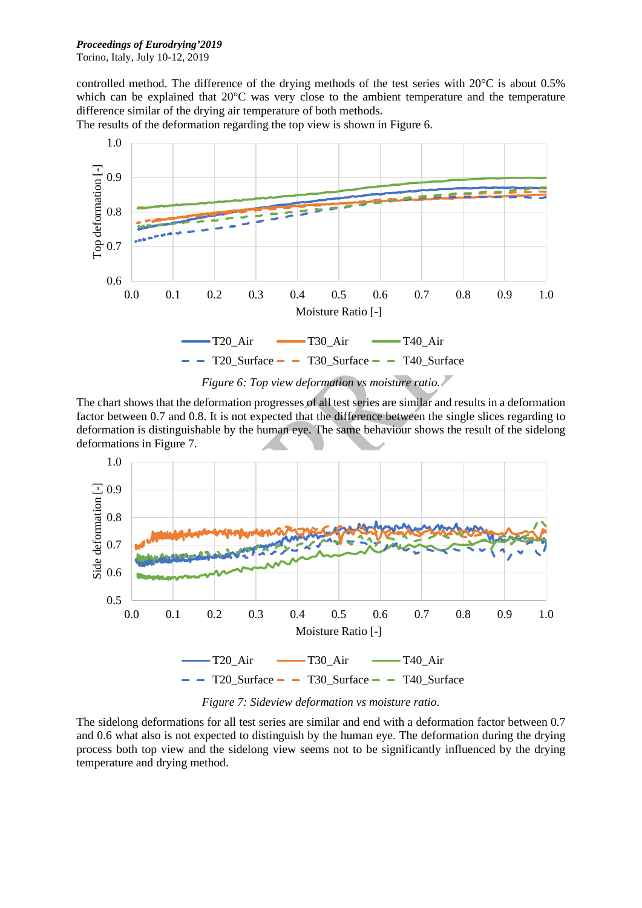# *Proceedings of Eurodrying'2019*

Torino, Italy, July 10-12, 2019

controlled method. The difference of the drying methods of the test series with 20°C is about 0.5% which can be explained that 20<sup>o</sup>C was very close to the ambient temperature and the temperature difference similar of the drying air temperature of both methods.

1.0 Top deformation [-] Top deformation [-] 0.9 0.8 0.7 0.6 0.0 0.1 0.2 0.3 0.4 0.5 0.6 0.7 0.8 0.9 1.0 Moisture Ratio [-]  $-T20_A$ ir  $-T30_A$ ir  $-T40_A$ ir  $-$  T20 Surface  $-$  T30 Surface  $-$  T40 Surface

The results of the deformation regarding the top view is shown in Figure 6.

*Figure 6: Top view deformation vs moisture ratio.*

The chart shows that the deformation progresses of all test series are similar and results in a deformation factor between 0.7 and 0.8. It is not expected that the difference between the single slices regarding to deformation is distinguishable by the human eye. The same behaviour shows the result of the sidelong deformations in Figure 7.



*Figure 7: Sideview deformation vs moisture ratio.*

The sidelong deformations for all test series are similar and end with a deformation factor between 0.7 and 0.6 what also is not expected to distinguish by the human eye. The deformation during the drying process both top view and the sidelong view seems not to be significantly influenced by the drying temperature and drying method.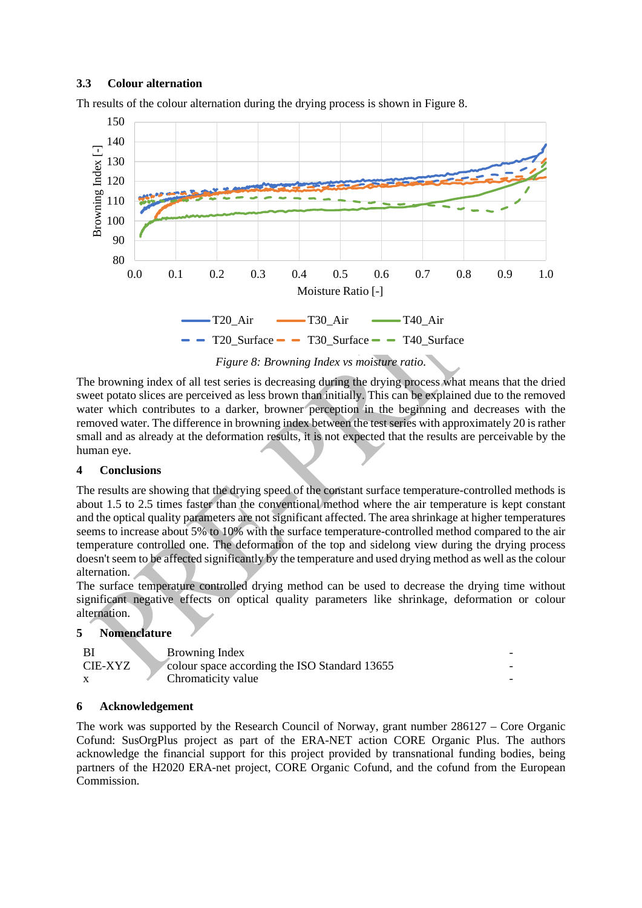# **3.3 Colour alternation**





*Figure 8: Browning Index vs moisture ratio.*

The browning index of all test series is decreasing during the drying process what means that the dried sweet potato slices are perceived as less brown than initially. This can be explained due to the removed water which contributes to a darker, browner perception in the beginning and decreases with the removed water. The difference in browning index between the test series with approximately 20 is rather small and as already at the deformation results, it is not expected that the results are perceivable by the human eye.

# **4 Conclusions**

The results are showing that the drying speed of the constant surface temperature-controlled methods is about 1.5 to 2.5 times faster than the conventional method where the air temperature is kept constant and the optical quality parameters are not significant affected. The area shrinkage at higher temperatures seems to increase about 5% to 10% with the surface temperature-controlled method compared to the air temperature controlled one. The deformation of the top and sidelong view during the drying process doesn't seem to be affected significantly by the temperature and used drying method as well as the colour alternation.

The surface temperature controlled drying method can be used to decrease the drying time without significant negative effects on optical quality parameters like shrinkage, deformation or colour alternation.

# **5 Nomenclature**

|         | Browning Index                                |  |
|---------|-----------------------------------------------|--|
| CIE-XYZ | Colour space according the ISO Standard 13655 |  |
|         | Chromaticity value                            |  |

# **6 Acknowledgement**

The work was supported by the Research Council of Norway, grant number 286127 – Core Organic Cofund: SusOrgPlus project as part of the ERA-NET action CORE Organic Plus. The authors acknowledge the financial support for this project provided by transnational funding bodies, being partners of the H2020 ERA-net project, CORE Organic Cofund, and the cofund from the European Commission.